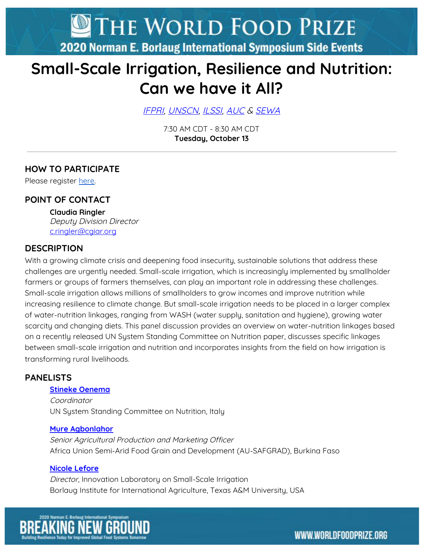THE WORLD FOOD PRIZE

2020 Norman E. Borlaug International Symposium Side Events

# **Small-Scale Irrigation, Resilience and Nutrition: Can we have it All?**

[IFPRI](http://www.ifpri.org/), [UNSCN](https://www.unscn.org/), [ILSSI,](https://ilssi.tamu.edu/) [AUC](https://au.int/en/commission) & [SEWA](http://www.sewa.org/)

7:30 AM CDT - 8:30 AM CDT **Tuesday, October 13**

# **HOW TO PARTICIPATE**

Please register [here](https://register.gotowebinar.com/register/2709364186253875982).

## **POINT OF CONTACT**

**Claudia Ringler** Deputy Division Director [c.ringler@cgiar.org](mailto:c.ringler@cgiar.org)

### **DESCRIPTION**

With a growing climate crisis and deepening food insecurity, sustainable solutions that address these challenges are urgently needed. Small-scale irrigation, which is increasingly implemented by smallholder farmers or groups of farmers themselves, can play an important role in addressing these challenges. Small-scale irrigation allows millions of smallholders to grow incomes and improve nutrition while increasing resilience to climate change. But small-scale irrigation needs to be placed in a larger complex of water-nutrition linkages, ranging from WASH (water supply, sanitation and hygiene), growing water scarcity and changing diets. This panel discussion provides an overview on water-nutrition linkages based on a recently released UN System Standing Committee on Nutrition paper, discusses specific linkages between small-scale irrigation and nutrition and incorporates insights from the field on how irrigation is transforming rural livelihoods.

### **PANELISTS**

#### **Stineke [Oenema](https://www.linkedin.com/in/stinekeoenema/?originalSubdomain=it)**

Coordinator UN System Standing Committee on Nutrition, Italy

#### **Mure [Agbonlahor](https://www.linkedin.com/in/mure-agbonlahor-73864b56/?originalSubdomain=ng)**

Senior Agricultural Production and Marketing Officer Africa Union Semi-Arid Food Grain and Development (AU-SAFGRAD), Burkina Faso

#### **Nicole [Lefore](https://www.linkedin.com/in/nicole-lefore-64540116/)**

Director, Innovation Laboratory on Small-Scale Irrigation Borlaug Institute for International Agriculture, Texas A&M University, USA

WWW.WORLDFOODPRIZE.ORG